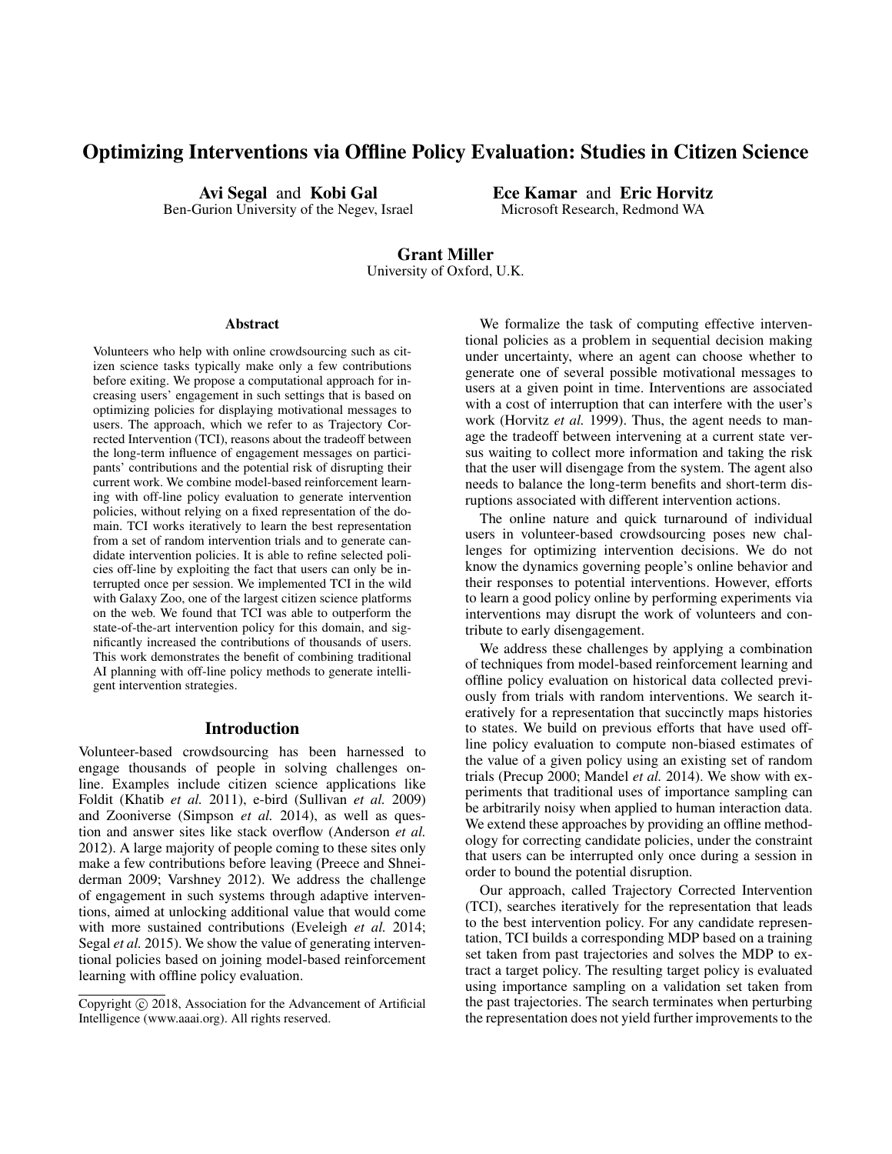# Optimizing Interventions via Offline Policy Evaluation: Studies in Citizen Science

Avi Segal and Kobi Gal Ben-Gurion University of the Negev, Israel Ece Kamar and Eric Horvitz Microsoft Research, Redmond WA

# Grant Miller

University of Oxford, U.K.

#### Abstract

Volunteers who help with online crowdsourcing such as citizen science tasks typically make only a few contributions before exiting. We propose a computational approach for increasing users' engagement in such settings that is based on optimizing policies for displaying motivational messages to users. The approach, which we refer to as Trajectory Corrected Intervention (TCI), reasons about the tradeoff between the long-term influence of engagement messages on participants' contributions and the potential risk of disrupting their current work. We combine model-based reinforcement learning with off-line policy evaluation to generate intervention policies, without relying on a fixed representation of the domain. TCI works iteratively to learn the best representation from a set of random intervention trials and to generate candidate intervention policies. It is able to refine selected policies off-line by exploiting the fact that users can only be interrupted once per session. We implemented TCI in the wild with Galaxy Zoo, one of the largest citizen science platforms on the web. We found that TCI was able to outperform the state-of-the-art intervention policy for this domain, and significantly increased the contributions of thousands of users. This work demonstrates the benefit of combining traditional AI planning with off-line policy methods to generate intelligent intervention strategies.

# Introduction

Volunteer-based crowdsourcing has been harnessed to engage thousands of people in solving challenges online. Examples include citizen science applications like Foldit (Khatib *et al.* 2011), e-bird (Sullivan *et al.* 2009) and Zooniverse (Simpson *et al.* 2014), as well as question and answer sites like stack overflow (Anderson *et al.* 2012). A large majority of people coming to these sites only make a few contributions before leaving (Preece and Shneiderman 2009; Varshney 2012). We address the challenge of engagement in such systems through adaptive interventions, aimed at unlocking additional value that would come with more sustained contributions (Eveleigh *et al.* 2014; Segal *et al.* 2015). We show the value of generating interventional policies based on joining model-based reinforcement learning with offline policy evaluation.

We formalize the task of computing effective interventional policies as a problem in sequential decision making under uncertainty, where an agent can choose whether to generate one of several possible motivational messages to users at a given point in time. Interventions are associated with a cost of interruption that can interfere with the user's work (Horvitz *et al.* 1999). Thus, the agent needs to manage the tradeoff between intervening at a current state versus waiting to collect more information and taking the risk that the user will disengage from the system. The agent also needs to balance the long-term benefits and short-term disruptions associated with different intervention actions.

The online nature and quick turnaround of individual users in volunteer-based crowdsourcing poses new challenges for optimizing intervention decisions. We do not know the dynamics governing people's online behavior and their responses to potential interventions. However, efforts to learn a good policy online by performing experiments via interventions may disrupt the work of volunteers and contribute to early disengagement.

We address these challenges by applying a combination of techniques from model-based reinforcement learning and offline policy evaluation on historical data collected previously from trials with random interventions. We search iteratively for a representation that succinctly maps histories to states. We build on previous efforts that have used offline policy evaluation to compute non-biased estimates of the value of a given policy using an existing set of random trials (Precup 2000; Mandel *et al.* 2014). We show with experiments that traditional uses of importance sampling can be arbitrarily noisy when applied to human interaction data. We extend these approaches by providing an offline methodology for correcting candidate policies, under the constraint that users can be interrupted only once during a session in order to bound the potential disruption.

Our approach, called Trajectory Corrected Intervention (TCI), searches iteratively for the representation that leads to the best intervention policy. For any candidate representation, TCI builds a corresponding MDP based on a training set taken from past trajectories and solves the MDP to extract a target policy. The resulting target policy is evaluated using importance sampling on a validation set taken from the past trajectories. The search terminates when perturbing the representation does not yield further improvements to the

Copyright (c) 2018, Association for the Advancement of Artificial Intelligence (www.aaai.org). All rights reserved.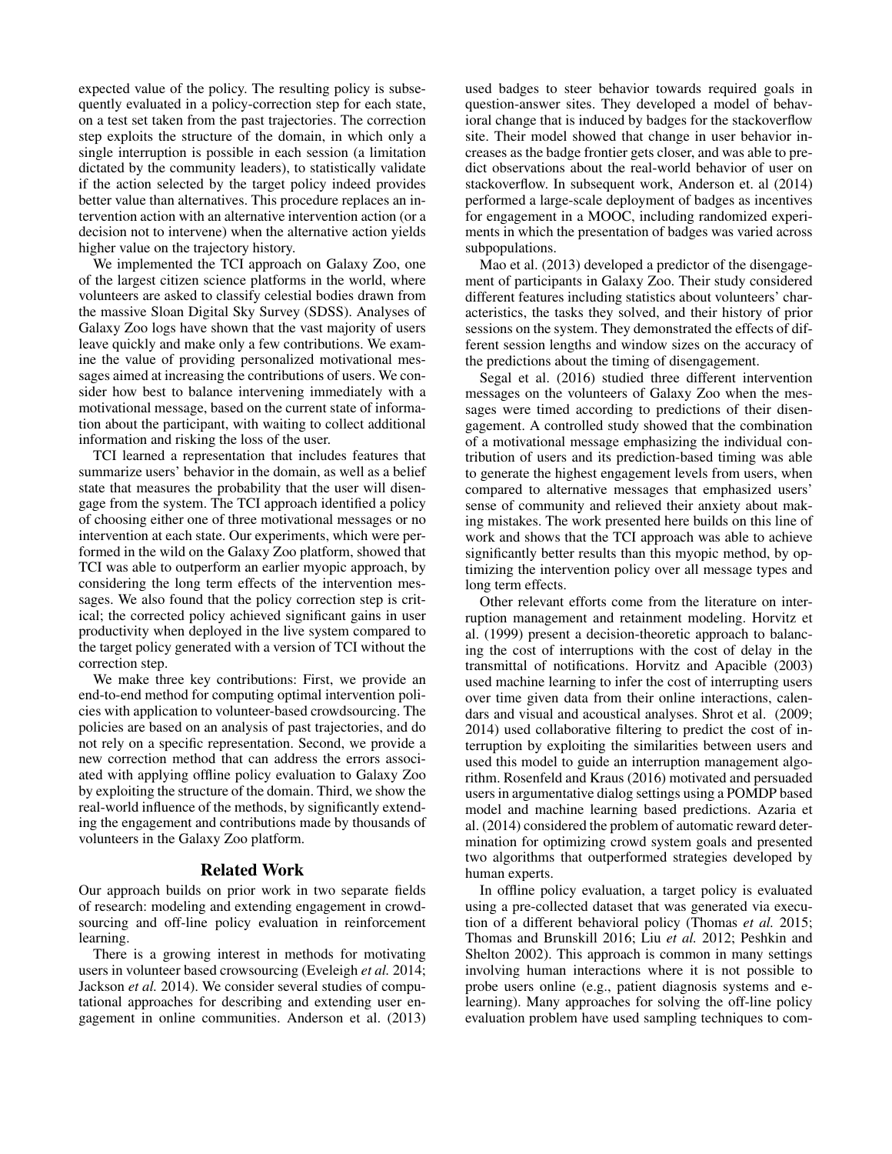expected value of the policy. The resulting policy is subsequently evaluated in a policy-correction step for each state, on a test set taken from the past trajectories. The correction step exploits the structure of the domain, in which only a single interruption is possible in each session (a limitation dictated by the community leaders), to statistically validate if the action selected by the target policy indeed provides better value than alternatives. This procedure replaces an intervention action with an alternative intervention action (or a decision not to intervene) when the alternative action yields higher value on the trajectory history.

We implemented the TCI approach on Galaxy Zoo, one of the largest citizen science platforms in the world, where volunteers are asked to classify celestial bodies drawn from the massive Sloan Digital Sky Survey (SDSS). Analyses of Galaxy Zoo logs have shown that the vast majority of users leave quickly and make only a few contributions. We examine the value of providing personalized motivational messages aimed at increasing the contributions of users. We consider how best to balance intervening immediately with a motivational message, based on the current state of information about the participant, with waiting to collect additional information and risking the loss of the user.

TCI learned a representation that includes features that summarize users' behavior in the domain, as well as a belief state that measures the probability that the user will disengage from the system. The TCI approach identified a policy of choosing either one of three motivational messages or no intervention at each state. Our experiments, which were performed in the wild on the Galaxy Zoo platform, showed that TCI was able to outperform an earlier myopic approach, by considering the long term effects of the intervention messages. We also found that the policy correction step is critical; the corrected policy achieved significant gains in user productivity when deployed in the live system compared to the target policy generated with a version of TCI without the correction step.

We make three key contributions: First, we provide an end-to-end method for computing optimal intervention policies with application to volunteer-based crowdsourcing. The policies are based on an analysis of past trajectories, and do not rely on a specific representation. Second, we provide a new correction method that can address the errors associated with applying offline policy evaluation to Galaxy Zoo by exploiting the structure of the domain. Third, we show the real-world influence of the methods, by significantly extending the engagement and contributions made by thousands of volunteers in the Galaxy Zoo platform.

#### Related Work

Our approach builds on prior work in two separate fields of research: modeling and extending engagement in crowdsourcing and off-line policy evaluation in reinforcement learning.

There is a growing interest in methods for motivating users in volunteer based crowsourcing (Eveleigh *et al.* 2014; Jackson *et al.* 2014). We consider several studies of computational approaches for describing and extending user engagement in online communities. Anderson et al. (2013)

used badges to steer behavior towards required goals in question-answer sites. They developed a model of behavioral change that is induced by badges for the stackoverflow site. Their model showed that change in user behavior increases as the badge frontier gets closer, and was able to predict observations about the real-world behavior of user on stackoverflow. In subsequent work, Anderson et. al (2014) performed a large-scale deployment of badges as incentives for engagement in a MOOC, including randomized experiments in which the presentation of badges was varied across subpopulations.

Mao et al. (2013) developed a predictor of the disengagement of participants in Galaxy Zoo. Their study considered different features including statistics about volunteers' characteristics, the tasks they solved, and their history of prior sessions on the system. They demonstrated the effects of different session lengths and window sizes on the accuracy of the predictions about the timing of disengagement.

Segal et al. (2016) studied three different intervention messages on the volunteers of Galaxy Zoo when the messages were timed according to predictions of their disengagement. A controlled study showed that the combination of a motivational message emphasizing the individual contribution of users and its prediction-based timing was able to generate the highest engagement levels from users, when compared to alternative messages that emphasized users' sense of community and relieved their anxiety about making mistakes. The work presented here builds on this line of work and shows that the TCI approach was able to achieve significantly better results than this myopic method, by optimizing the intervention policy over all message types and long term effects.

Other relevant efforts come from the literature on interruption management and retainment modeling. Horvitz et al. (1999) present a decision-theoretic approach to balancing the cost of interruptions with the cost of delay in the transmittal of notifications. Horvitz and Apacible (2003) used machine learning to infer the cost of interrupting users over time given data from their online interactions, calendars and visual and acoustical analyses. Shrot et al. (2009; 2014) used collaborative filtering to predict the cost of interruption by exploiting the similarities between users and used this model to guide an interruption management algorithm. Rosenfeld and Kraus (2016) motivated and persuaded users in argumentative dialog settings using a POMDP based model and machine learning based predictions. Azaria et al. (2014) considered the problem of automatic reward determination for optimizing crowd system goals and presented two algorithms that outperformed strategies developed by human experts.

In offline policy evaluation, a target policy is evaluated using a pre-collected dataset that was generated via execution of a different behavioral policy (Thomas *et al.* 2015; Thomas and Brunskill 2016; Liu *et al.* 2012; Peshkin and Shelton 2002). This approach is common in many settings involving human interactions where it is not possible to probe users online (e.g., patient diagnosis systems and elearning). Many approaches for solving the off-line policy evaluation problem have used sampling techniques to com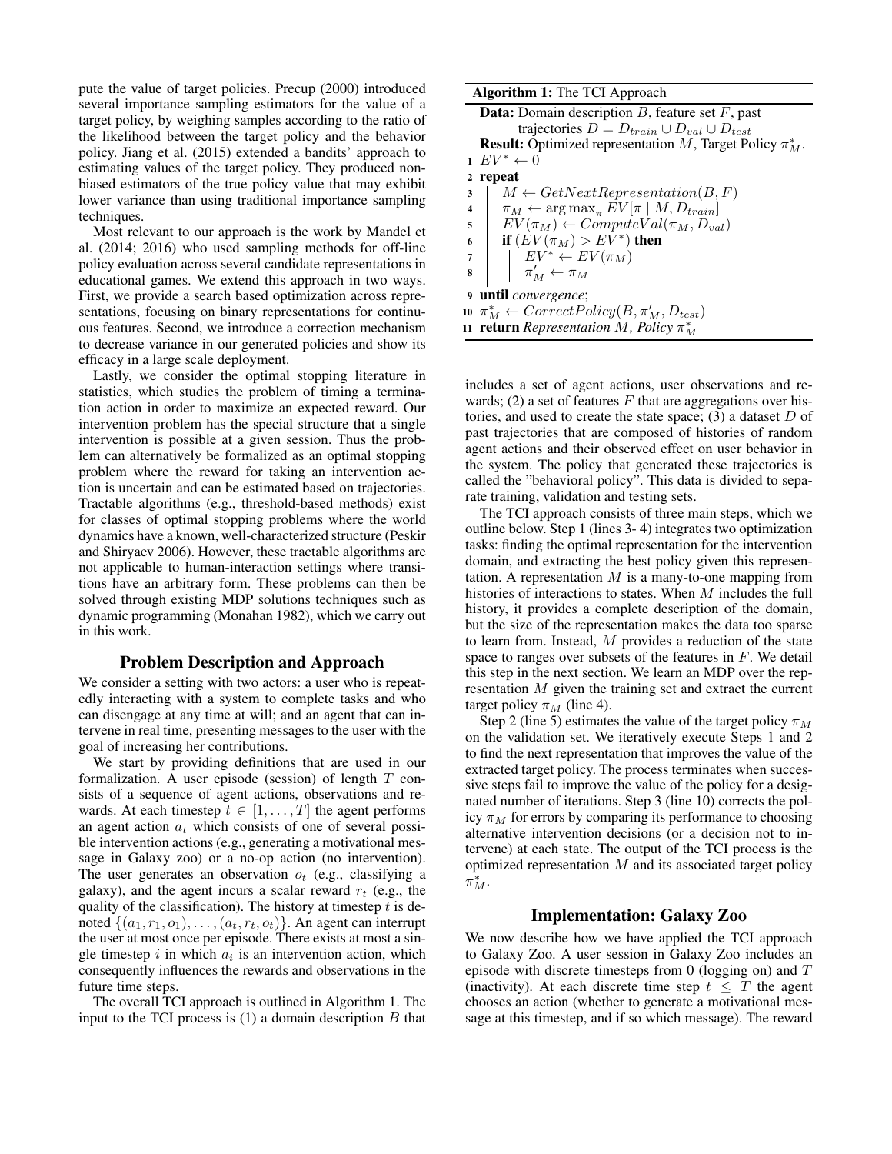pute the value of target policies. Precup (2000) introduced several importance sampling estimators for the value of a target policy, by weighing samples according to the ratio of the likelihood between the target policy and the behavior policy. Jiang et al. (2015) extended a bandits' approach to estimating values of the target policy. They produced nonbiased estimators of the true policy value that may exhibit lower variance than using traditional importance sampling techniques.

Most relevant to our approach is the work by Mandel et al. (2014; 2016) who used sampling methods for off-line policy evaluation across several candidate representations in educational games. We extend this approach in two ways. First, we provide a search based optimization across representations, focusing on binary representations for continuous features. Second, we introduce a correction mechanism to decrease variance in our generated policies and show its efficacy in a large scale deployment.

Lastly, we consider the optimal stopping literature in statistics, which studies the problem of timing a termination action in order to maximize an expected reward. Our intervention problem has the special structure that a single intervention is possible at a given session. Thus the problem can alternatively be formalized as an optimal stopping problem where the reward for taking an intervention action is uncertain and can be estimated based on trajectories. Tractable algorithms (e.g., threshold-based methods) exist for classes of optimal stopping problems where the world dynamics have a known, well-characterized structure (Peskir and Shiryaev 2006). However, these tractable algorithms are not applicable to human-interaction settings where transitions have an arbitrary form. These problems can then be solved through existing MDP solutions techniques such as dynamic programming (Monahan 1982), which we carry out in this work.

# Problem Description and Approach

We consider a setting with two actors: a user who is repeatedly interacting with a system to complete tasks and who can disengage at any time at will; and an agent that can intervene in real time, presenting messages to the user with the goal of increasing her contributions.

We start by providing definitions that are used in our formalization. A user episode (session) of length  $T$  consists of a sequence of agent actions, observations and rewards. At each timestep  $t \in [1, \ldots, T]$  the agent performs an agent action  $a_t$  which consists of one of several possible intervention actions (e.g., generating a motivational message in Galaxy zoo) or a no-op action (no intervention). The user generates an observation  $o_t$  (e.g., classifying a galaxy), and the agent incurs a scalar reward  $r_t$  (e.g., the quality of the classification). The history at timestep  $t$  is denoted  $\{(a_1, r_1, o_1), \ldots, (a_t, r_t, o_t)\}\)$ . An agent can interrupt the user at most once per episode. There exists at most a single timestep  $i$  in which  $a_i$  is an intervention action, which consequently influences the rewards and observations in the future time steps.

The overall TCI approach is outlined in Algorithm 1. The input to the TCI process is  $(1)$  a domain description  $B$  that

#### Algorithm 1: The TCI Approach

|                         | <b>Data:</b> Domain description $B$ , feature set $F$ , past         |
|-------------------------|----------------------------------------------------------------------|
|                         | trajectories $D = D_{train} \cup D_{val} \cup D_{test}$              |
|                         | <b>Result:</b> Optimized representation M, Target Policy $\pi_M^*$ . |
|                         | $EV^* \leftarrow 0$                                                  |
|                         | 2 repeat                                                             |
| 3                       | $M \leftarrow GetNextRepresentation(B, F)$                           |
| $\overline{\mathbf{4}}$ | $\pi_M \leftarrow \arg \max_{\pi} EV[\pi \mid M, D_{train}]$         |
| 5                       | $EV(\pi_M) \leftarrow ComputeVal(\pi_M, D_{val})$                    |
| 6                       | if $(EV(\pi_M) > EV^*)$ then                                         |
| 7                       | $\vert \quad \vert E V^* \leftarrow E V(\pi_M)$                      |
| 8                       | $\mathcal{L} \;\pi_M' \leftarrow \pi_M$                              |
|                         | 9 <b>until</b> <i>convergence</i> ;                                  |
|                         | 10 $\pi_M^* \leftarrow CorrectPolicy(B, \pi_M', D_{test})$           |
|                         | 11 <b>return</b> Representation M, Policy $\pi_M^*$                  |
|                         |                                                                      |

includes a set of agent actions, user observations and rewards; (2) a set of features  $F$  that are aggregations over histories, and used to create the state space; (3) a dataset  $D$  of past trajectories that are composed of histories of random agent actions and their observed effect on user behavior in the system. The policy that generated these trajectories is called the "behavioral policy". This data is divided to separate training, validation and testing sets.

The TCI approach consists of three main steps, which we outline below. Step 1 (lines 3- 4) integrates two optimization tasks: finding the optimal representation for the intervention domain, and extracting the best policy given this representation. A representation  $M$  is a many-to-one mapping from histories of interactions to states. When M includes the full history, it provides a complete description of the domain, but the size of the representation makes the data too sparse to learn from. Instead, M provides a reduction of the state space to ranges over subsets of the features in  $F$ . We detail this step in the next section. We learn an MDP over the representation M given the training set and extract the current target policy  $\pi_M$  (line 4).

Step 2 (line 5) estimates the value of the target policy  $\pi_M$ on the validation set. We iteratively execute Steps 1 and 2 to find the next representation that improves the value of the extracted target policy. The process terminates when successive steps fail to improve the value of the policy for a designated number of iterations. Step 3 (line 10) corrects the policy  $\pi_M$  for errors by comparing its performance to choosing alternative intervention decisions (or a decision not to intervene) at each state. The output of the TCI process is the optimized representation  $M$  and its associated target policy  $\bar{\pi}_M^*$ .

# Implementation: Galaxy Zoo

We now describe how we have applied the TCI approach to Galaxy Zoo. A user session in Galaxy Zoo includes an episode with discrete timesteps from  $0$  (logging on) and  $T$ (inactivity). At each discrete time step  $t \leq T$  the agent chooses an action (whether to generate a motivational message at this timestep, and if so which message). The reward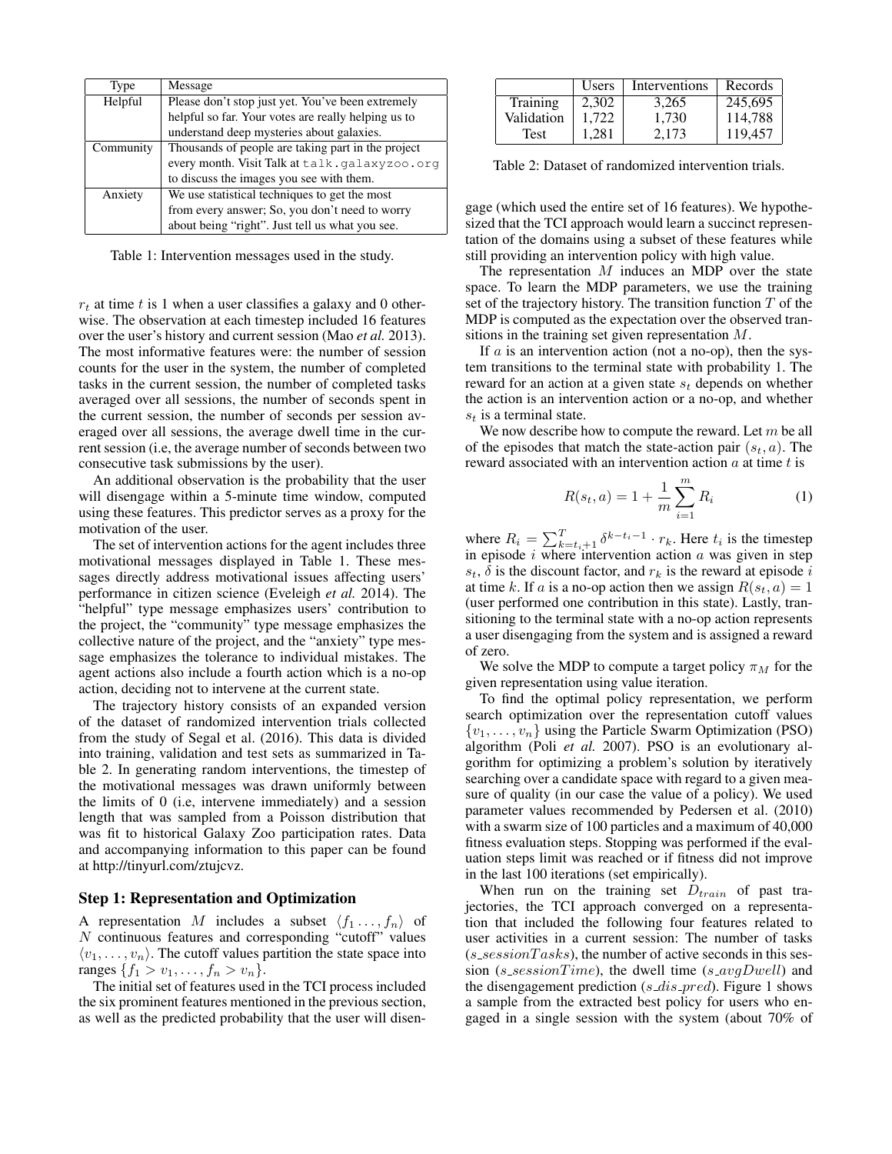| Type      | Message                                             |
|-----------|-----------------------------------------------------|
| Helpful   | Please don't stop just yet. You've been extremely   |
|           | helpful so far. Your votes are really helping us to |
|           | understand deep mysteries about galaxies.           |
| Community | Thousands of people are taking part in the project  |
|           | every month. Visit Talk at talk.galaxyzoo.org       |
|           | to discuss the images you see with them.            |
| Anxiety   | We use statistical techniques to get the most       |
|           | from every answer; So, you don't need to worry      |
|           | about being "right". Just tell us what you see.     |

Table 1: Intervention messages used in the study.

 $r_t$  at time t is 1 when a user classifies a galaxy and 0 otherwise. The observation at each timestep included 16 features over the user's history and current session (Mao *et al.* 2013). The most informative features were: the number of session counts for the user in the system, the number of completed tasks in the current session, the number of completed tasks averaged over all sessions, the number of seconds spent in the current session, the number of seconds per session averaged over all sessions, the average dwell time in the current session (i.e, the average number of seconds between two consecutive task submissions by the user).

An additional observation is the probability that the user will disengage within a 5-minute time window, computed using these features. This predictor serves as a proxy for the motivation of the user.

The set of intervention actions for the agent includes three motivational messages displayed in Table 1. These messages directly address motivational issues affecting users' performance in citizen science (Eveleigh *et al.* 2014). The "helpful" type message emphasizes users' contribution to the project, the "community" type message emphasizes the collective nature of the project, and the "anxiety" type message emphasizes the tolerance to individual mistakes. The agent actions also include a fourth action which is a no-op action, deciding not to intervene at the current state.

The trajectory history consists of an expanded version of the dataset of randomized intervention trials collected from the study of Segal et al. (2016). This data is divided into training, validation and test sets as summarized in Table 2. In generating random interventions, the timestep of the motivational messages was drawn uniformly between the limits of 0 (i.e, intervene immediately) and a session length that was sampled from a Poisson distribution that was fit to historical Galaxy Zoo participation rates. Data and accompanying information to this paper can be found at http://tinyurl.com/ztujcvz.

#### Step 1: Representation and Optimization

A representation M includes a subset  $\langle f_1 \ldots, f_n \rangle$  of N continuous features and corresponding "cutoff" values  $\langle v_1, \ldots, v_n \rangle$ . The cutoff values partition the state space into ranges  $\{f_1 > v_1, \ldots, f_n > v_n\}.$ 

The initial set of features used in the TCI process included the six prominent features mentioned in the previous section, as well as the predicted probability that the user will disen-

|             | Users | Interventions | Records |
|-------------|-------|---------------|---------|
| Training    | 2.302 | 3.265         | 245.695 |
| Validation  | 1.722 | 1,730         | 114,788 |
| <b>Test</b> | 1.281 | 2.173         | 119.457 |

Table 2: Dataset of randomized intervention trials.

gage (which used the entire set of 16 features). We hypothesized that the TCI approach would learn a succinct representation of the domains using a subset of these features while still providing an intervention policy with high value.

The representation  $M$  induces an MDP over the state space. To learn the MDP parameters, we use the training set of the trajectory history. The transition function  $T$  of the MDP is computed as the expectation over the observed transitions in the training set given representation  $M$ .

If  $a$  is an intervention action (not a no-op), then the system transitions to the terminal state with probability 1. The reward for an action at a given state  $s_t$  depends on whether the action is an intervention action or a no-op, and whether  $s_t$  is a terminal state.

We now describe how to compute the reward. Let m be all of the episodes that match the state-action pair  $(s_t, a)$ . The reward associated with an intervention action  $a$  at time  $t$  is

$$
R(s_t, a) = 1 + \frac{1}{m} \sum_{i=1}^{m} R_i
$$
 (1)

where  $R_i = \sum_{k=t_i+1}^{T} \delta^{k-t_i-1} \cdot r_k$ . Here  $t_i$  is the timestep in episode  $i$  where intervention action  $a$  was given in step  $s_t$ ,  $\delta$  is the discount factor, and  $r_k$  is the reward at episode i at time k. If a is a no-op action then we assign  $R(s_t, a) = 1$ (user performed one contribution in this state). Lastly, transitioning to the terminal state with a no-op action represents a user disengaging from the system and is assigned a reward of zero.

We solve the MDP to compute a target policy  $\pi_M$  for the given representation using value iteration.

To find the optimal policy representation, we perform search optimization over the representation cutoff values  $\{v_1, \ldots, v_n\}$  using the Particle Swarm Optimization (PSO) algorithm (Poli *et al.* 2007). PSO is an evolutionary algorithm for optimizing a problem's solution by iteratively searching over a candidate space with regard to a given measure of quality (in our case the value of a policy). We used parameter values recommended by Pedersen et al. (2010) with a swarm size of 100 particles and a maximum of 40,000 fitness evaluation steps. Stopping was performed if the evaluation steps limit was reached or if fitness did not improve in the last 100 iterations (set empirically).

When run on the training set  $D_{train}$  of past trajectories, the TCI approach converged on a representation that included the following four features related to user activities in a current session: The number of tasks  $(s<sub>-\text{sessionT}^\text{u}^\text{B}</sub>$ , the number of active seconds in this session (s\_sessionTime), the dwell time (s\_avgDwell) and the disengagement prediction  $(s\_dis\_pred)$ . Figure 1 shows a sample from the extracted best policy for users who engaged in a single session with the system (about 70% of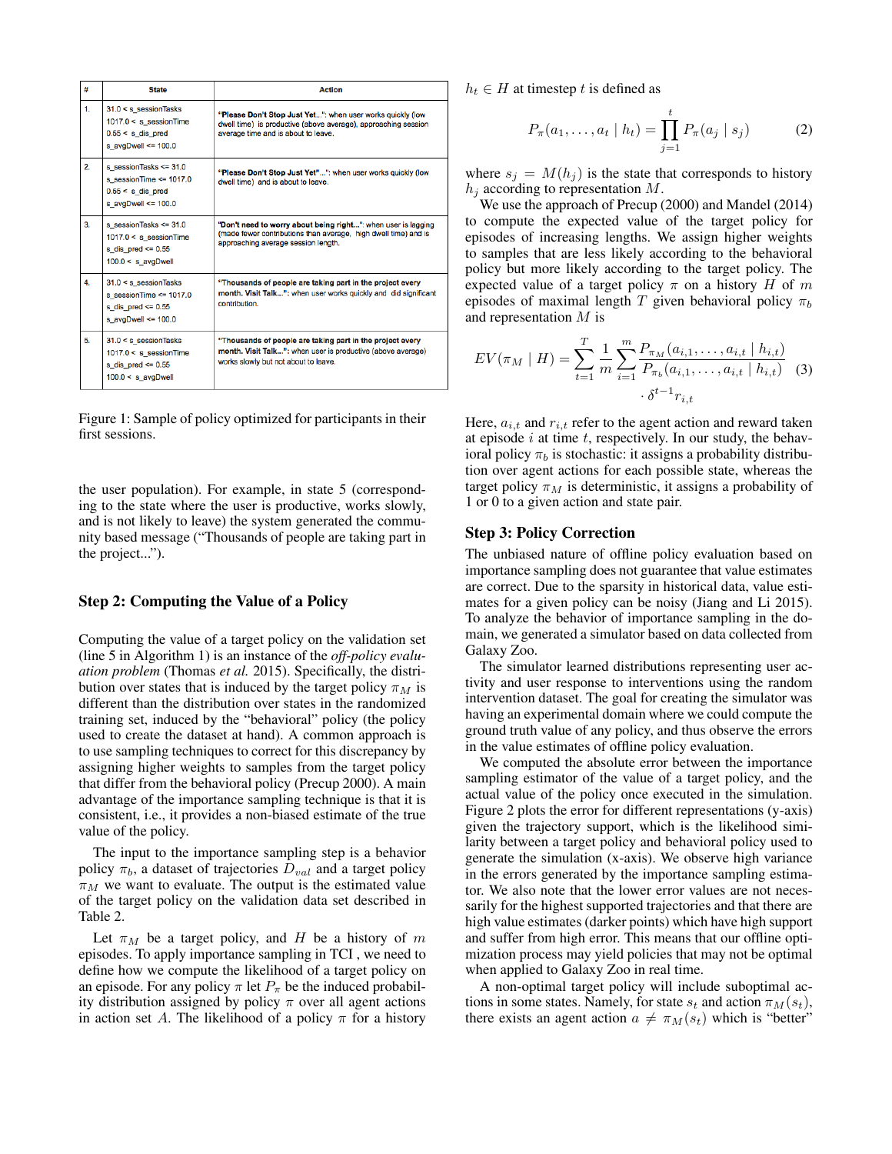| #  | <b>State</b>                                                                                                | <b>Action</b>                                                                                                                                                           |
|----|-------------------------------------------------------------------------------------------------------------|-------------------------------------------------------------------------------------------------------------------------------------------------------------------------|
| 1. | $31.0 < s$ session Tasks<br>$1017.0 < s$ sessionTime<br>$0.55 < s$ dis pred<br>s avgDwell $\leq 100.0$      | "Please Don't Stop Just Yet": when user works quickly (low<br>dwell time) is productive (above average), approaching session<br>average time and is about to leave.     |
| 2. | s sessionTasks <= $31.0$<br>s session Time $\leq$ 1017.0<br>$0.55 < s$ dis pred<br>s avgDwell $\leq 100.0$  | "Please Don't Stop Just Yet"": when user works quickly (low<br>dwell time) and is about to leave.                                                                       |
| 3. | s sessionTasks <= $31.0$<br>$1017.0 < s$ session Time<br>s dis pred $\leq$ 0.55<br>$100.0 < s$ avgDwell     | "Don't need to worry about being right": when user is lagging<br>(made fewer contributions than average, high dwell time) and is<br>approaching average session length. |
| 4. | $31.0 < s$ session Tasks<br>s session Time $\leq$ 1017.0<br>s dis pred $\leq$ 0.55<br>s avgDwell <= $100.0$ | "Thousands of people are taking part in the project every<br>month. Visit Talk": when user works quickly and did significant<br>contribution.                           |
| 5. | $31.0 < s$ session Tasks<br>$1017.0 < s$ session Time<br>s dis pred $\leq 0.55$<br>$100.0 < s$ avgDwell     | "Thousands of people are taking part in the project every<br>month. Visit Talk": when user is productive (above average)<br>works slowly but not about to leave.        |

Figure 1: Sample of policy optimized for participants in their first sessions.

the user population). For example, in state 5 (corresponding to the state where the user is productive, works slowly, and is not likely to leave) the system generated the community based message ("Thousands of people are taking part in the project...").

# Step 2: Computing the Value of a Policy

Computing the value of a target policy on the validation set (line 5 in Algorithm 1) is an instance of the *off-policy evaluation problem* (Thomas *et al.* 2015). Specifically, the distribution over states that is induced by the target policy  $\pi_M$  is different than the distribution over states in the randomized training set, induced by the "behavioral" policy (the policy used to create the dataset at hand). A common approach is to use sampling techniques to correct for this discrepancy by assigning higher weights to samples from the target policy that differ from the behavioral policy (Precup 2000). A main advantage of the importance sampling technique is that it is consistent, i.e., it provides a non-biased estimate of the true value of the policy.

The input to the importance sampling step is a behavior policy  $\pi_b$ , a dataset of trajectories  $D_{val}$  and a target policy  $\pi_M$  we want to evaluate. The output is the estimated value of the target policy on the validation data set described in Table 2.

Let  $\pi_M$  be a target policy, and H be a history of m episodes. To apply importance sampling in TCI , we need to define how we compute the likelihood of a target policy on an episode. For any policy  $\pi$  let  $P_{\pi}$  be the induced probability distribution assigned by policy  $\pi$  over all agent actions in action set A. The likelihood of a policy  $\pi$  for a history  $h_t \in H$  at timestep t is defined as

$$
P_{\pi}(a_1, ..., a_t | h_t) = \prod_{j=1}^t P_{\pi}(a_j | s_j)
$$
 (2)

where  $s_j = M(h_j)$  is the state that corresponds to history  $h_i$  according to representation M.

We use the approach of Precup (2000) and Mandel (2014) to compute the expected value of the target policy for episodes of increasing lengths. We assign higher weights to samples that are less likely according to the behavioral policy but more likely according to the target policy. The expected value of a target policy  $\pi$  on a history H of m episodes of maximal length T given behavioral policy  $\pi_b$ and representation M is

$$
EV(\pi_M \mid H) = \sum_{t=1}^T \frac{1}{m} \sum_{i=1}^m \frac{P_{\pi_M}(a_{i,1}, \dots, a_{i,t} \mid h_{i,t})}{P_{\pi_b}(a_{i,1}, \dots, a_{i,t} \mid h_{i,t})}
$$
(3)

Here,  $a_{i,t}$  and  $r_{i,t}$  refer to the agent action and reward taken at episode  $i$  at time  $t$ , respectively. In our study, the behavioral policy  $\pi_b$  is stochastic: it assigns a probability distribution over agent actions for each possible state, whereas the target policy  $\pi_M$  is deterministic, it assigns a probability of 1 or 0 to a given action and state pair.

# Step 3: Policy Correction

The unbiased nature of offline policy evaluation based on importance sampling does not guarantee that value estimates are correct. Due to the sparsity in historical data, value estimates for a given policy can be noisy (Jiang and Li 2015). To analyze the behavior of importance sampling in the domain, we generated a simulator based on data collected from Galaxy Zoo.

The simulator learned distributions representing user activity and user response to interventions using the random intervention dataset. The goal for creating the simulator was having an experimental domain where we could compute the ground truth value of any policy, and thus observe the errors in the value estimates of offline policy evaluation.

We computed the absolute error between the importance sampling estimator of the value of a target policy, and the actual value of the policy once executed in the simulation. Figure 2 plots the error for different representations (y-axis) given the trajectory support, which is the likelihood similarity between a target policy and behavioral policy used to generate the simulation (x-axis). We observe high variance in the errors generated by the importance sampling estimator. We also note that the lower error values are not necessarily for the highest supported trajectories and that there are high value estimates (darker points) which have high support and suffer from high error. This means that our offline optimization process may yield policies that may not be optimal when applied to Galaxy Zoo in real time.

A non-optimal target policy will include suboptimal actions in some states. Namely, for state  $s_t$  and action  $\pi_M(s_t)$ , there exists an agent action  $a \neq \pi_M(s_t)$  which is "better"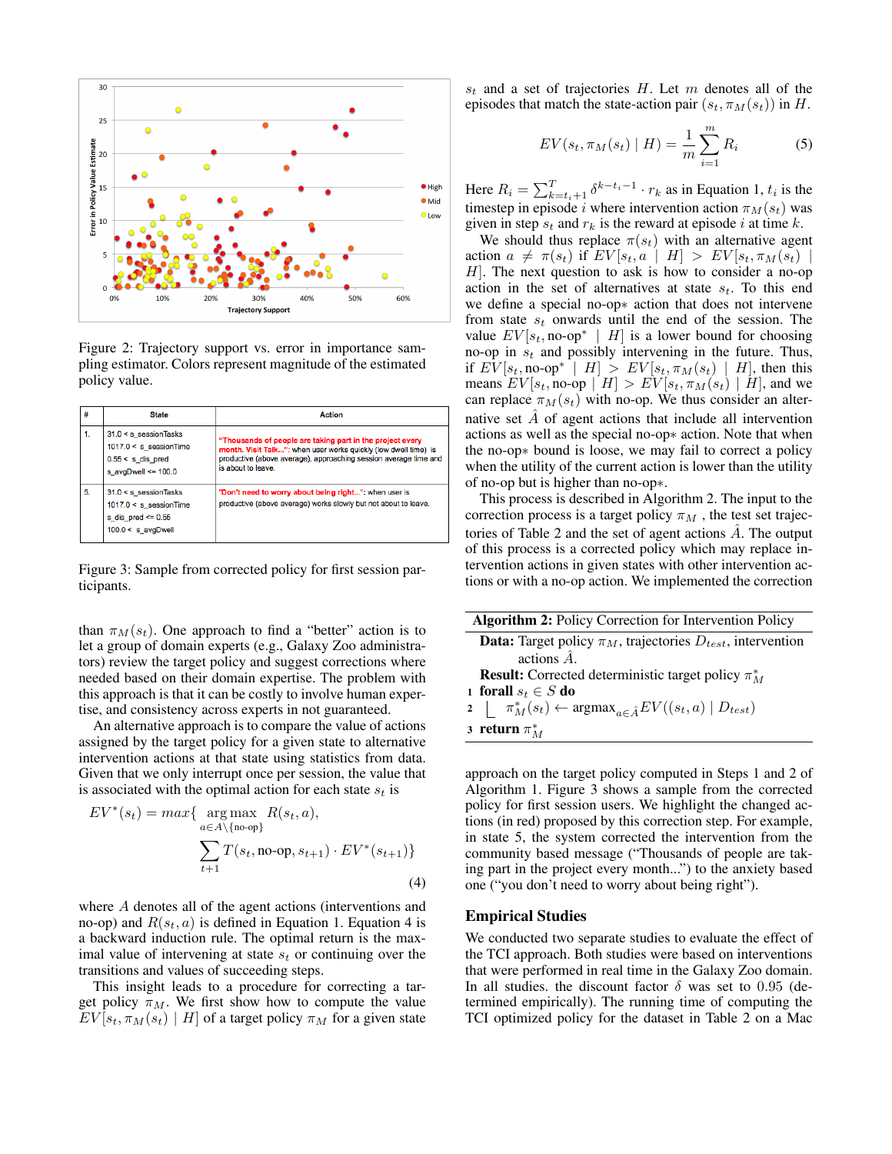

Figure 2: Trajectory support vs. error in importance sampling estimator. Colors represent magnitude of the estimated policy value.

|    | <b>State</b>                                                                                            | <b>Action</b>                                                                                                                                                                                                          |
|----|---------------------------------------------------------------------------------------------------------|------------------------------------------------------------------------------------------------------------------------------------------------------------------------------------------------------------------------|
| 1. | $31.0 < s$ session Tasks<br>$1017.0 < s$ _sessionTime<br>$0.55 < s$ dis pred<br>s avgDwell <= $100.0$   | "Thousands of people are taking part in the project every<br>month. Visit Talk": when user works quickly (low dwell time) is<br>productive (above average), approaching session average time and<br>is about to leave. |
| 5. | $31.0 < s$ session Tasks<br>$1017.0 < s$ session Time<br>s dis pred $\leq 0.55$<br>$100.0 < s$ avgDwell | "Don't need to worry about being right": when user is<br>productive (above average) works slowly but not about to leave.                                                                                               |

Figure 3: Sample from corrected policy for first session participants.

than  $\pi_M(s_t)$ . One approach to find a "better" action is to let a group of domain experts (e.g., Galaxy Zoo administrators) review the target policy and suggest corrections where needed based on their domain expertise. The problem with this approach is that it can be costly to involve human expertise, and consistency across experts in not guaranteed.

An alternative approach is to compare the value of actions assigned by the target policy for a given state to alternative intervention actions at that state using statistics from data. Given that we only interrupt once per session, the value that is associated with the optimal action for each state  $s_t$  is

$$
EV^*(s_t) = max\{\n \underset{a \in A \setminus \{no \text{-op}\}}{\arg \max} R(s_t, a),\n \sum_{t+1} T(s_t, no \text{-op}, s_{t+1}) \cdot EV^*(s_{t+1})\}\n \tag{4}
$$

where A denotes all of the agent actions (interventions and no-op) and  $R(s_t, a)$  is defined in Equation 1. Equation 4 is a backward induction rule. The optimal return is the maximal value of intervening at state  $s_t$  or continuing over the transitions and values of succeeding steps.

This insight leads to a procedure for correcting a target policy  $\pi_M$ . We first show how to compute the value  $EV[s_t, \pi_M(s_t) | H]$  of a target policy  $\pi_M$  for a given state

 $s_t$  and a set of trajectories H. Let m denotes all of the episodes that match the state-action pair  $(s_t, \pi_M(s_t))$  in H.

$$
EV(s_t, \pi_M(s_t) \mid H) = \frac{1}{m} \sum_{i=1}^{m} R_i
$$
 (5)

Here  $R_i = \sum_{k=t_i+1}^{T} \delta^{k-t_i-1} \cdot r_k$  as in Equation 1,  $t_i$  is the timestep in episode i where intervention action  $\pi_M(s_t)$  was given in step  $s_t$  and  $r_k$  is the reward at episode i at time k.

We should thus replace  $\pi(s_t)$  with an alternative agent action  $a \neq \pi(s_t)$  if  $EV[s_t, a \mid H] > EV[s_t, \pi_M(s_t)]$  $H$ ]. The next question to ask is how to consider a no-op action in the set of alternatives at state  $s_t$ . To this end we define a special no-op∗ action that does not intervene from state  $s_t$  onwards until the end of the session. The value  $EV[s_t, no-op^* | H]$  is a lower bound for choosing no-op in  $s_t$  and possibly intervening in the future. Thus, if  $E\tilde{V}[s_t, \text{no-op}^* | H] > EV[s_t, \pi_M(s_t) | H]$ , then this means  $EV[s_t, no\text{-}op \mid H] > EV[s_t, \pi_M(s_t) \mid H]$ , and we can replace  $\pi_M(s_t)$  with no-op. We thus consider an alternative set  $\hat{A}$  of agent actions that include all intervention actions as well as the special no-op∗ action. Note that when the no-op∗ bound is loose, we may fail to correct a policy when the utility of the current action is lower than the utility of no-op but is higher than no-op∗.

This process is described in Algorithm 2. The input to the correction process is a target policy  $\pi_M$ , the test set trajectories of Table 2 and the set of agent actions  $\hat{A}$ . The output of this process is a corrected policy which may replace intervention actions in given states with other intervention actions or with a no-op action. We implemented the correction

| <b>Algorithm 2:</b> Policy Correction for Intervention Policy |                                                                                        |  |
|---------------------------------------------------------------|----------------------------------------------------------------------------------------|--|
|                                                               | <b>Data:</b> Target policy $\pi_M$ , trajectories $D_{test}$ , intervention            |  |
|                                                               | actions $\hat{A}$ .                                                                    |  |
|                                                               | <b>Result:</b> Corrected deterministic target policy $\pi_M^*$                         |  |
|                                                               | 1 forall $s_t \in S$ do                                                                |  |
|                                                               | $2 \mid \pi_M^*(s_t) \leftarrow \text{argmax}_{a \in \hat{A}} EV((s_t, a)   D_{test})$ |  |
|                                                               | 3 return $\pi^*_M$                                                                     |  |
|                                                               |                                                                                        |  |

approach on the target policy computed in Steps 1 and 2 of Algorithm 1. Figure 3 shows a sample from the corrected policy for first session users. We highlight the changed actions (in red) proposed by this correction step. For example, in state 5, the system corrected the intervention from the community based message ("Thousands of people are taking part in the project every month...") to the anxiety based one ("you don't need to worry about being right").

# Empirical Studies

We conducted two separate studies to evaluate the effect of the TCI approach. Both studies were based on interventions that were performed in real time in the Galaxy Zoo domain. In all studies. the discount factor  $\delta$  was set to 0.95 (determined empirically). The running time of computing the TCI optimized policy for the dataset in Table 2 on a Mac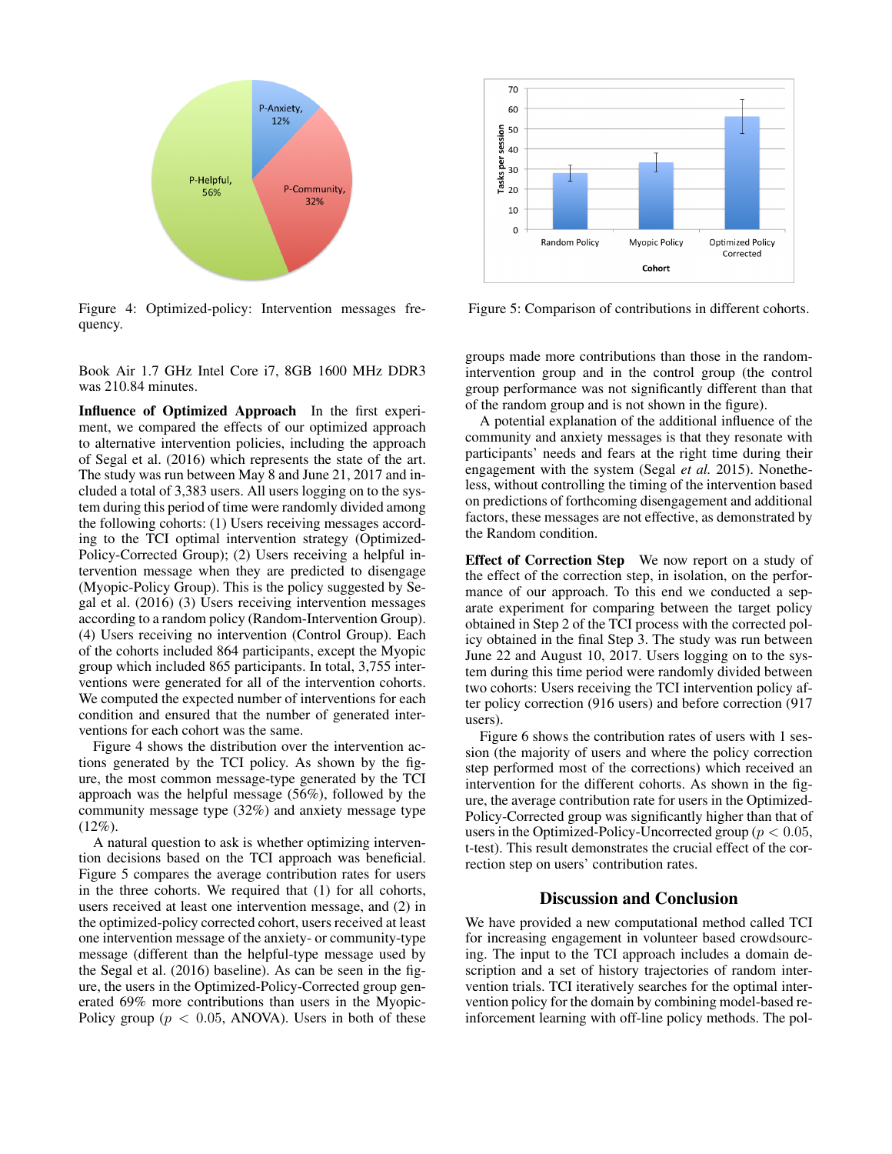

Figure 4: Optimized-policy: Intervention messages frequency.

Book Air 1.7 GHz Intel Core i7, 8GB 1600 MHz DDR3 was 210.84 minutes.

Influence of Optimized Approach In the first experiment, we compared the effects of our optimized approach to alternative intervention policies, including the approach of Segal et al. (2016) which represents the state of the art. The study was run between May 8 and June 21, 2017 and included a total of 3,383 users. All users logging on to the system during this period of time were randomly divided among the following cohorts: (1) Users receiving messages according to the TCI optimal intervention strategy (Optimized-Policy-Corrected Group); (2) Users receiving a helpful intervention message when they are predicted to disengage (Myopic-Policy Group). This is the policy suggested by Segal et al. (2016) (3) Users receiving intervention messages according to a random policy (Random-Intervention Group). (4) Users receiving no intervention (Control Group). Each of the cohorts included 864 participants, except the Myopic group which included 865 participants. In total, 3,755 interventions were generated for all of the intervention cohorts. We computed the expected number of interventions for each condition and ensured that the number of generated interventions for each cohort was the same.

Figure 4 shows the distribution over the intervention actions generated by the TCI policy. As shown by the figure, the most common message-type generated by the TCI approach was the helpful message (56%), followed by the community message type (32%) and anxiety message type  $(12\%)$ .

A natural question to ask is whether optimizing intervention decisions based on the TCI approach was beneficial. Figure 5 compares the average contribution rates for users in the three cohorts. We required that (1) for all cohorts, users received at least one intervention message, and (2) in the optimized-policy corrected cohort, users received at least one intervention message of the anxiety- or community-type message (different than the helpful-type message used by the Segal et al. (2016) baseline). As can be seen in the figure, the users in the Optimized-Policy-Corrected group generated 69% more contributions than users in the Myopic-Policy group ( $p < 0.05$ , ANOVA). Users in both of these



Figure 5: Comparison of contributions in different cohorts.

groups made more contributions than those in the randomintervention group and in the control group (the control group performance was not significantly different than that of the random group and is not shown in the figure).

A potential explanation of the additional influence of the community and anxiety messages is that they resonate with participants' needs and fears at the right time during their engagement with the system (Segal *et al.* 2015). Nonetheless, without controlling the timing of the intervention based on predictions of forthcoming disengagement and additional factors, these messages are not effective, as demonstrated by the Random condition.

Effect of Correction Step We now report on a study of the effect of the correction step, in isolation, on the performance of our approach. To this end we conducted a separate experiment for comparing between the target policy obtained in Step 2 of the TCI process with the corrected policy obtained in the final Step 3. The study was run between June 22 and August 10, 2017. Users logging on to the system during this time period were randomly divided between two cohorts: Users receiving the TCI intervention policy after policy correction (916 users) and before correction (917 users).

Figure 6 shows the contribution rates of users with 1 session (the majority of users and where the policy correction step performed most of the corrections) which received an intervention for the different cohorts. As shown in the figure, the average contribution rate for users in the Optimized-Policy-Corrected group was significantly higher than that of users in the Optimized-Policy-Uncorrected group ( $p < 0.05$ , t-test). This result demonstrates the crucial effect of the correction step on users' contribution rates.

# Discussion and Conclusion

We have provided a new computational method called TCI for increasing engagement in volunteer based crowdsourcing. The input to the TCI approach includes a domain description and a set of history trajectories of random intervention trials. TCI iteratively searches for the optimal intervention policy for the domain by combining model-based reinforcement learning with off-line policy methods. The pol-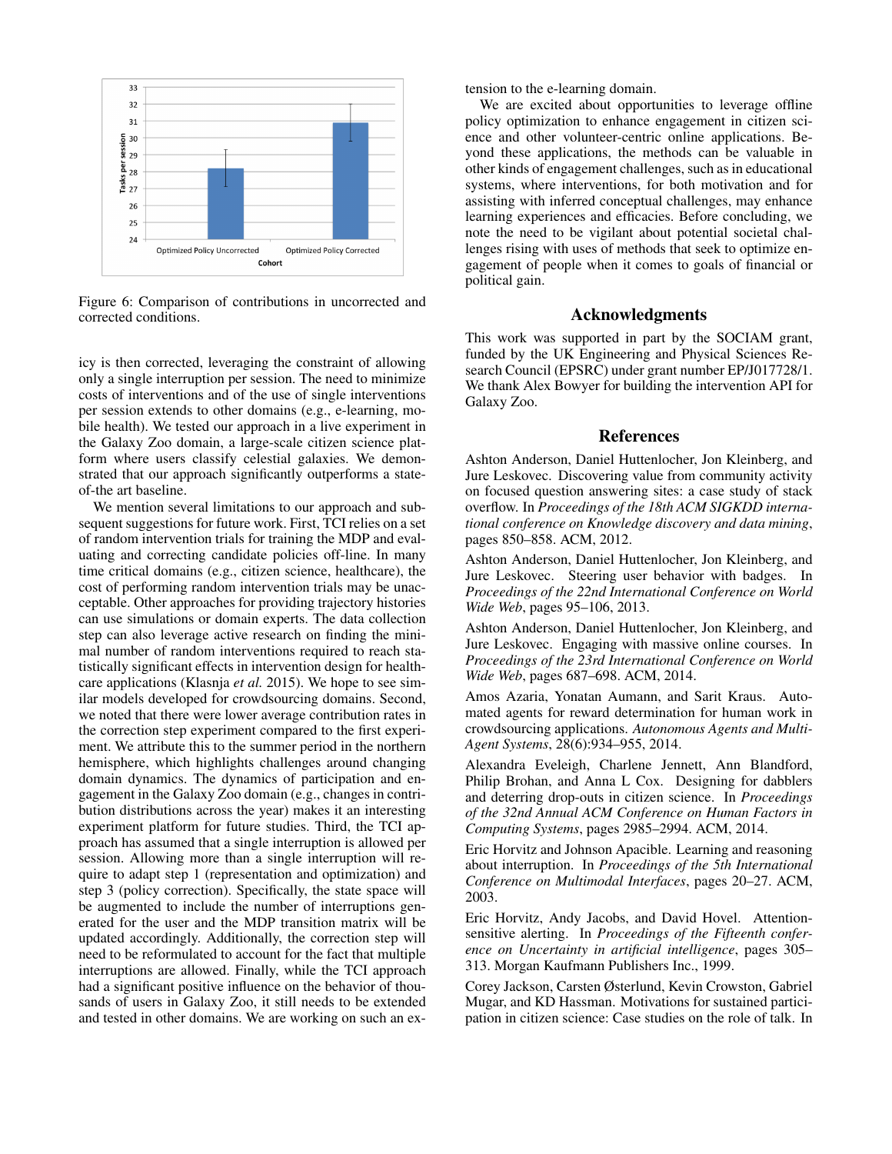

Figure 6: Comparison of contributions in uncorrected and corrected conditions.

icy is then corrected, leveraging the constraint of allowing only a single interruption per session. The need to minimize costs of interventions and of the use of single interventions per session extends to other domains (e.g., e-learning, mobile health). We tested our approach in a live experiment in the Galaxy Zoo domain, a large-scale citizen science platform where users classify celestial galaxies. We demonstrated that our approach significantly outperforms a stateof-the art baseline.

We mention several limitations to our approach and subsequent suggestions for future work. First, TCI relies on a set of random intervention trials for training the MDP and evaluating and correcting candidate policies off-line. In many time critical domains (e.g., citizen science, healthcare), the cost of performing random intervention trials may be unacceptable. Other approaches for providing trajectory histories can use simulations or domain experts. The data collection step can also leverage active research on finding the minimal number of random interventions required to reach statistically significant effects in intervention design for healthcare applications (Klasnja *et al.* 2015). We hope to see similar models developed for crowdsourcing domains. Second, we noted that there were lower average contribution rates in the correction step experiment compared to the first experiment. We attribute this to the summer period in the northern hemisphere, which highlights challenges around changing domain dynamics. The dynamics of participation and engagement in the Galaxy Zoo domain (e.g., changes in contribution distributions across the year) makes it an interesting experiment platform for future studies. Third, the TCI approach has assumed that a single interruption is allowed per session. Allowing more than a single interruption will require to adapt step 1 (representation and optimization) and step 3 (policy correction). Specifically, the state space will be augmented to include the number of interruptions generated for the user and the MDP transition matrix will be updated accordingly. Additionally, the correction step will need to be reformulated to account for the fact that multiple interruptions are allowed. Finally, while the TCI approach had a significant positive influence on the behavior of thousands of users in Galaxy Zoo, it still needs to be extended and tested in other domains. We are working on such an extension to the e-learning domain.

We are excited about opportunities to leverage offline policy optimization to enhance engagement in citizen science and other volunteer-centric online applications. Beyond these applications, the methods can be valuable in other kinds of engagement challenges, such as in educational systems, where interventions, for both motivation and for assisting with inferred conceptual challenges, may enhance learning experiences and efficacies. Before concluding, we note the need to be vigilant about potential societal challenges rising with uses of methods that seek to optimize engagement of people when it comes to goals of financial or political gain.

#### Acknowledgments

This work was supported in part by the SOCIAM grant, funded by the UK Engineering and Physical Sciences Research Council (EPSRC) under grant number EP/J017728/1. We thank Alex Bowyer for building the intervention API for Galaxy Zoo.

# References

Ashton Anderson, Daniel Huttenlocher, Jon Kleinberg, and Jure Leskovec. Discovering value from community activity on focused question answering sites: a case study of stack overflow. In *Proceedings of the 18th ACM SIGKDD international conference on Knowledge discovery and data mining*, pages 850–858. ACM, 2012.

Ashton Anderson, Daniel Huttenlocher, Jon Kleinberg, and Jure Leskovec. Steering user behavior with badges. In *Proceedings of the 22nd International Conference on World Wide Web*, pages 95–106, 2013.

Ashton Anderson, Daniel Huttenlocher, Jon Kleinberg, and Jure Leskovec. Engaging with massive online courses. In *Proceedings of the 23rd International Conference on World Wide Web*, pages 687–698. ACM, 2014.

Amos Azaria, Yonatan Aumann, and Sarit Kraus. Automated agents for reward determination for human work in crowdsourcing applications. *Autonomous Agents and Multi-Agent Systems*, 28(6):934–955, 2014.

Alexandra Eveleigh, Charlene Jennett, Ann Blandford, Philip Brohan, and Anna L Cox. Designing for dabblers and deterring drop-outs in citizen science. In *Proceedings of the 32nd Annual ACM Conference on Human Factors in Computing Systems*, pages 2985–2994. ACM, 2014.

Eric Horvitz and Johnson Apacible. Learning and reasoning about interruption. In *Proceedings of the 5th International Conference on Multimodal Interfaces*, pages 20–27. ACM, 2003.

Eric Horvitz, Andy Jacobs, and David Hovel. Attentionsensitive alerting. In *Proceedings of the Fifteenth conference on Uncertainty in artificial intelligence*, pages 305– 313. Morgan Kaufmann Publishers Inc., 1999.

Corey Jackson, Carsten Østerlund, Kevin Crowston, Gabriel Mugar, and KD Hassman. Motivations for sustained participation in citizen science: Case studies on the role of talk. In